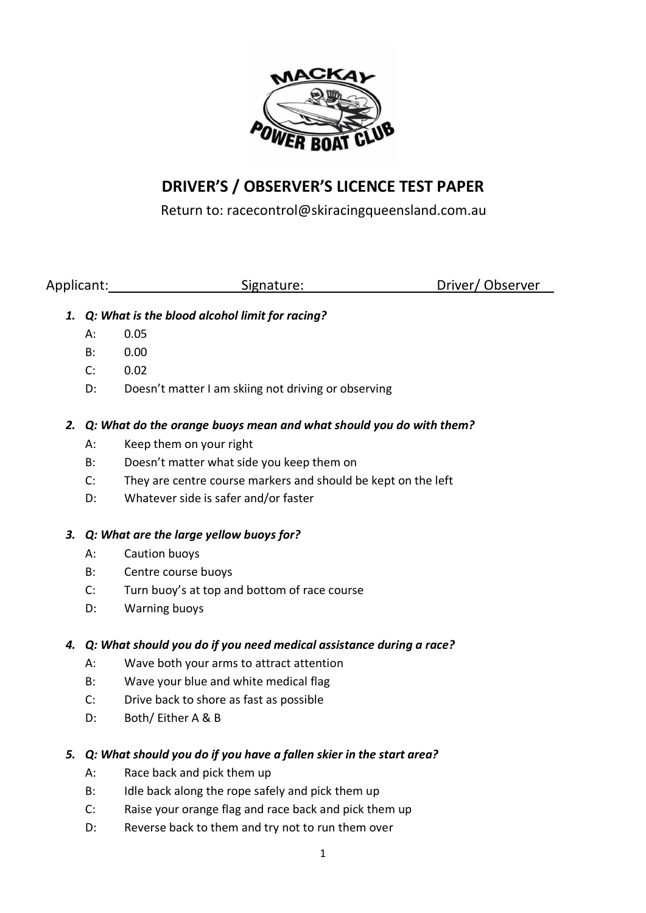

# **DRIVER'S / OBSERVER'S LICENCE TEST PAPER**

Return to: racecontrol@skiracingqueensland.com.au

Applicant: Signature: Signature: Driver/ Observer

- *1. Q: What is the blood alcohol limit for racing?*
	- A: 0.05
	- B: 0.00
	- C: 0.02
	- D: Doesn't matter I am skiing not driving or observing
- *2. Q: What do the orange buoys mean and what should you do with them?*
	- A: Keep them on your right
	- B: Doesn't matter what side you keep them on
	- C: They are centre course markers and should be kept on the left
	- D: Whatever side is safer and/or faster

## *3. Q: What are the large yellow buoys for?*

- A: Caution buoys
- B: Centre course buoys
- C: Turn buoy's at top and bottom of race course
- D: Warning buoys

## *4. Q: What should you do if you need medical assistance during a race?*

- A: Wave both your arms to attract attention
- B: Wave your blue and white medical flag
- C: Drive back to shore as fast as possible
- D: Both/ Either A & B
- *5. Q: What should you do if you have a fallen skier in the start area?*
	- A: Race back and pick them up
	- B: Idle back along the rope safely and pick them up
	- C: Raise your orange flag and race back and pick them up
	- D: Reverse back to them and try not to run them over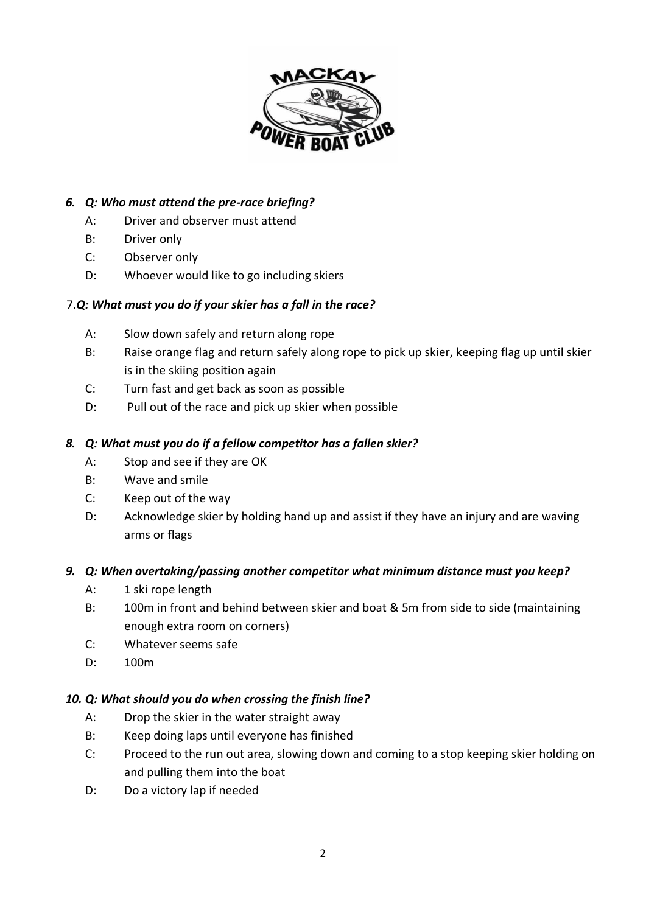

## *6. Q: Who must attend the pre-race briefing?*

- A: Driver and observer must attend
- B: Driver only
- C: Observer only
- D: Whoever would like to go including skiers

## 7.*Q: What must you do if your skier has a fall in the race?*

- A: Slow down safely and return along rope
- B: Raise orange flag and return safely along rope to pick up skier, keeping flag up until skier is in the skiing position again
- C: Turn fast and get back as soon as possible
- D: Pull out of the race and pick up skier when possible

### *8. Q: What must you do if a fellow competitor has a fallen skier?*

- A: Stop and see if they are OK
- B: Wave and smile
- C: Keep out of the way
- D: Acknowledge skier by holding hand up and assist if they have an injury and are waving arms or flags

### *9. Q: When overtaking/passing another competitor what minimum distance must you keep?*

- A: 1 ski rope length
- B: 100m in front and behind between skier and boat & 5m from side to side (maintaining enough extra room on corners)
- C: Whatever seems safe
- D: 100m

### *10. Q: What should you do when crossing the finish line?*

- A: Drop the skier in the water straight away
- B: Keep doing laps until everyone has finished
- C: Proceed to the run out area, slowing down and coming to a stop keeping skier holding on and pulling them into the boat
- D: Do a victory lap if needed